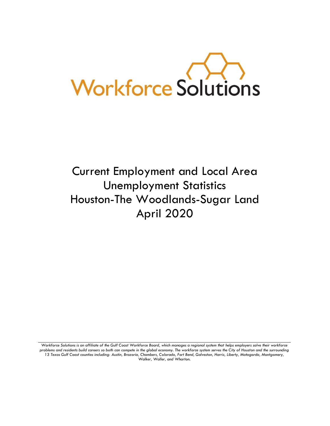

# Current Employment and Local Area Unemployment Statistics Houston-The Woodlands-Sugar Land April 2020

Workforce Solutions is an affiliate of the Gulf Coast Workforce Board, which manages a regional system that helps employers solve their workforce *problems and residents build careers so both can compete in the global economy. The workforce system serves the City of Houston and the surrounding 13 Texas Gulf Coast counties including: Austin, Brazoria, Chambers, Colorado, Fort Bend, Galveston, Harris, Liberty, Matagorda, Montgomery, Walker, Waller, and Wharton.*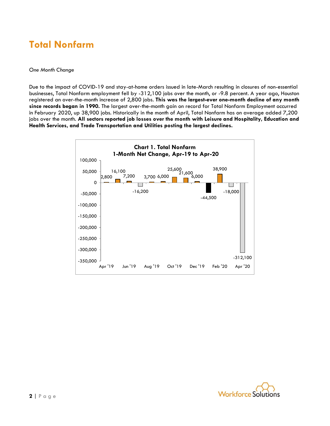### **Total Nonfarm**

#### *One Month Change*

Due to the impact of COVID-19 and stay-at-home orders issued in late-March resulting in closures of non-essential businesses, Total Nonfarm employment fell by -312,100 jobs over the month, or -9.8 percent. A year ago, Houston registered an over-the-month increase of 2,800 jobs. **This was the largest-ever one-month decline of any month since records began in 1990.** The largest over-the-month gain on record for Total Nonfarm Employment occurred in February 2020, up 38,900 jobs. Historically in the month of April, Total Nonfarm has on average added 7,200 jobs over the month. **All sectors reported job losses over the month with Leisure and Hospitality, Education and Health Services, and Trade Transportation and Utilities posting the largest declines.**



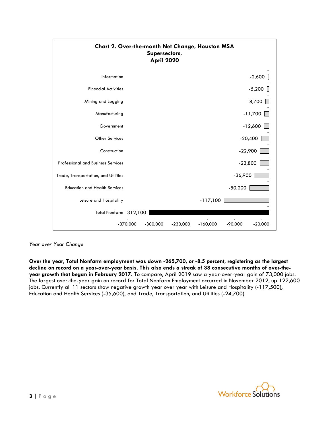

*Year over Year Change*

**Over the year, Total Nonfarm employment was down -265,700, or -8.5 percent, registering as the largest decline on record on a year-over-year basis. This also ends a streak of 38 consecutive months of over-theyear growth that began in February 2017.** To compare, April 2019 saw a year-over-year gain of 73,000 jobs. The largest over-the-year gain on record for Total Nonfarm Employment occurred in November 2012, up 122,600 jobs. Currently all 11 sectors show negative growth year over year with Leisure and Hospitality (-117,500), Education and Health Services (-35,600), and Trade, Transportation, and Utilities (-24,700).

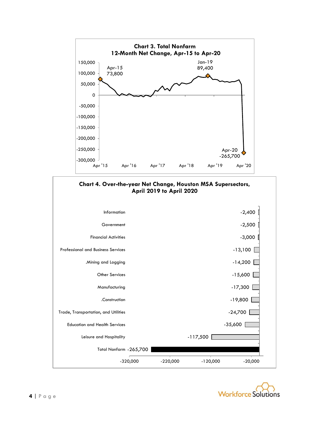



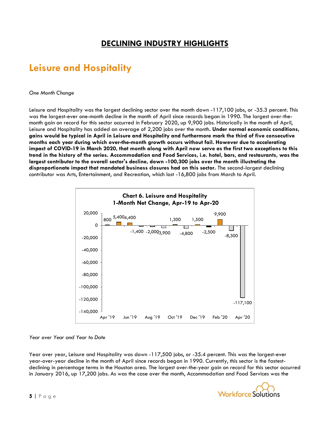### **DECLINING INDUSTRY HIGHLIGHTS**

### **Leisure and Hospitality**

#### *One Month Change*

Leisure and Hospitality was the largest declining sector over the month down -117,100 jobs, or -35.3 percent. This was the largest-ever one-month decline in the month of April since records began in 1990. The largest over-themonth gain on record for this sector occurred in February 2020, up 9,900 jobs. Historically in the month of April, Leisure and Hospitality has added an average of 2,200 jobs over the month. **Under normal economic conditions, gains would be typical in April in Leisure and Hospitality and furthermore mark the third of five consecutive months each year during which over-the-month growth occurs without fail. However due to accelerating impact of COVID-19 in March 2020, that month along with April now serve as the first two exceptions to this trend in the history of the series. Accommodation and Food Services, i.e. hotel, bars, and restaurants, was the largest contributor to the overall sector's decline, down -100,300 jobs over the month illustrating the disproportionate impact that mandated business closures had on this sector.** The second-largest declining contributor was Arts, Entertainment, and Recreation, which lost -16,800 jobs from March to April.



#### *Year over Year and Year to Date*

Year over year, Leisure and Hospitality was down -117,500 jobs, or -35.4 percent. This was the largest-ever year-over-year decline in the month of April since records began in 1990. Currently, this sector is the fastestdeclining in percentage terms in the Houston area. The largest over-the-year gain on record for this sector occurred in January 2016, up 17,200 jobs. As was the case over the month, Accommodation and Food Services was the

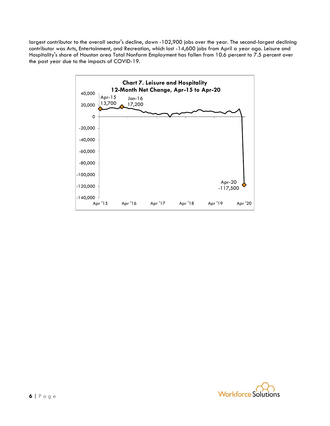largest contributor to the overall sector's decline, down -102,900 jobs over the year. The second-largest declining contributor was Arts, Entertainment, and Recreation, which lost -14,600 jobs from April a year ago. Leisure and Hospitality's share of Houston area Total Nonfarm Employment has fallen from 10.6 percent to 7.5 percent over the past year due to the impacts of COVID-19.



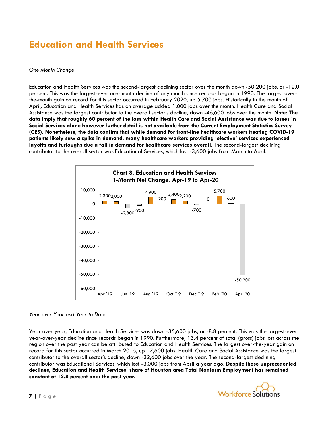### **Education and Health Services**

#### *One Month Change*

Education and Health Services was the second-largest declining sector over the month down -50,200 jobs, or -12.0 percent. This was the largest-ever one-month decline of any month since records began in 1990. The largest overthe-month gain on record for this sector occurred in February 2020, up 5,700 jobs. Historically in the month of April, Education and Health Services has on average added 1,000 jobs over the month. Health Care and Social Assistance was the largest contributor to the overall sector's decline, down -46,600 jobs over the month. **Note: The data imply that roughly 60 percent of the loss within Health Care and Social Assistance was due to losses in Social Services alone however further detail is not available from the Current Employment Statistics Survey (CES). Nonetheless, the data confirm that while demand for front-line healthcare workers treating COVID-19 patients likely saw a spike in demand, many healthcare workers providing 'elective' services experienced layoffs and furloughs due a fall in demand for healthcare services overall**. The second-largest declining contributor to the overall sector was Educational Services, which lost -3,600 jobs from March to April.



#### *Year over Year and Year to Date*

Year over year, Education and Health Services was down -35,600 jobs, or -8.8 percent. This was the largest-ever year-over-year decline since records began in 1990. Furthermore, 13.4 percent of total (gross) jobs lost across the region over the past year can be attributed to Education and Health Services. The largest over-the-year gain on record for this sector occurred in March 2015, up 17,600 jobs. Health Care and Social Assistance was the largest contributor to the overall sector's decline, down -32,600 jobs over the year. The second-largest declining contributor was Educational Services, which lost -3,000 jobs from April a year ago. **Despite these unprecedented declines, Education and Health Services' share of Houston area Total Nonfarm Employment has remained constant at 12.8 percent over the past year.**

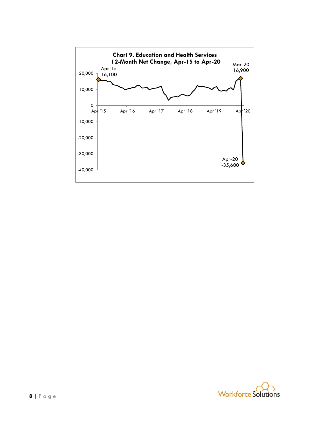

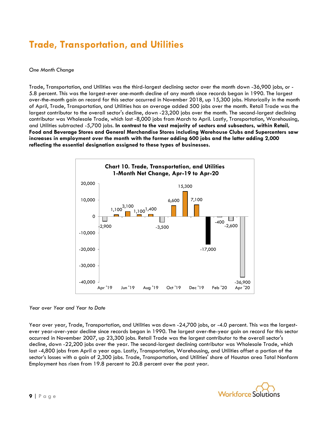## **Trade, Transportation, and Utilities**

#### *One Month Change*

Trade, Transportation, and Utilities was the third-largest declining sector over the month down -36,900 jobs, or - 5.8 percent. This was the largest-ever one-month decline of any month since records began in 1990. The largest over-the-month gain on record for this sector occurred in November 2018, up 15,300 jobs. Historically in the month of April, Trade, Transportation, and Utilities has on average added 500 jobs over the month. Retail Trade was the largest contributor to the overall sector's decline, down -23,200 jobs over the month. The second-largest declining contributor was Wholesale Trade, which lost -8,000 jobs from March to April. Lastly, Transportation, Warehousing, and Utilities subtracted -5,700 jobs. **In contrast to the vast majority of sectors and subsectors, within Retail, Food and Beverage Stores and General Merchandise Stores including Warehouse Clubs and Supercenters saw increases in employment over the month with the former adding 600 jobs and the latter adding 2,000 reflecting the essential designation assigned to these types of businesses.**



#### *Year over Year and Year to Date*

Year over year, Trade, Transportation, and Utilities was down -24,700 jobs, or -4.0 percent. This was the largestever year-over-year decline since records began in 1990. The largest over-the-year gain on record for this sector occurred in November 2007, up 23,300 jobs. Retail Trade was the largest contributor to the overall sector's decline, down -22,200 jobs over the year. The second-largest declining contributor was Wholesale Trade, which lost -4,800 jobs from April a year ago. Lastly, Transportation, Warehousing, and Utilities offset a portion of the sector's losses with a gain of 2,300 jobs. Trade, Transportation, and Utilities' share of Houston area Total Nonfarm Employment has risen from 19.8 percent to 20.8 percent over the past year.

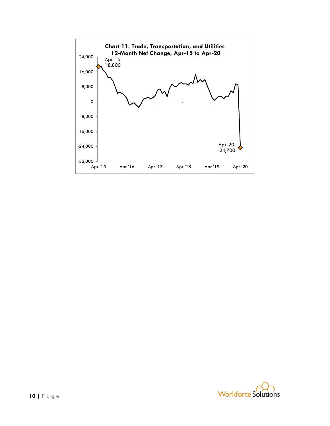

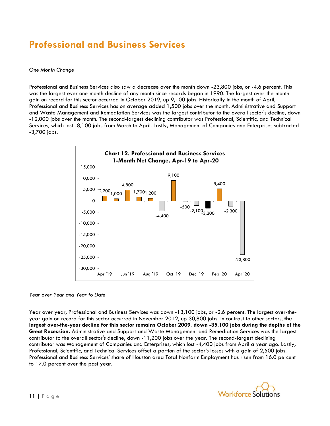### **Professional and Business Services**

#### *One Month Change*

Professional and Business Services also saw a decrease over the month down -23,800 jobs, or -4.6 percent. This was the largest-ever one-month decline of any month since records began in 1990. The largest over-the-month gain on record for this sector occurred in October 2019, up 9,100 jobs. Historically in the month of April, Professional and Business Services has on average added 1,500 jobs over the month. Administrative and Support and Waste Management and Remediation Services was the largest contributor to the overall sector's decline, down -12,000 jobs over the month. The second-largest declining contributor was Professional, Scientific, and Technical Services, which lost -8,100 jobs from March to April. Lastly, Management of Companies and Enterprises subtracted -3,700 jobs.



*Year over Year and Year to Date*

Year over year, Professional and Business Services was down -13,100 jobs, or -2.6 percent. The largest over-theyear gain on record for this sector occurred in November 2012, up 30,800 jobs. In contrast to other sectors, **the largest over-the-year decline for this sector remains October 2009, down -35,100 jobs during the depths of the Great Recession.** Administrative and Support and Waste Management and Remediation Services was the largest contributor to the overall sector's decline, down -11,200 jobs over the year. The second-largest declining contributor was Management of Companies and Enterprises, which lost -4,400 jobs from April a year ago. Lastly, Professional, Scientific, and Technical Services offset a portion of the sector's losses with a gain of 2,500 jobs. Professional and Business Services' share of Houston area Total Nonfarm Employment has risen from 16.0 percent to 17.0 percent over the past year.

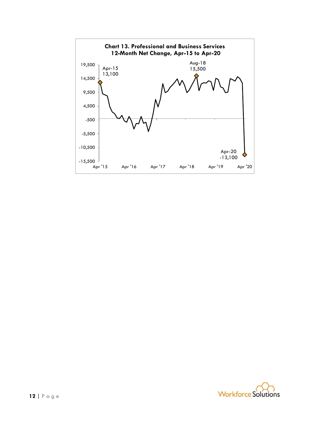

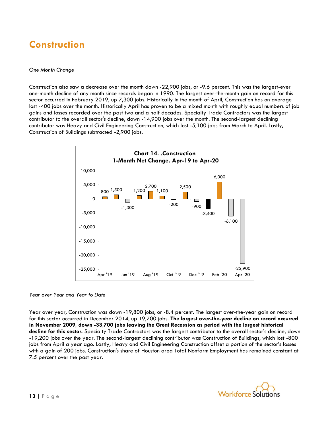### **Construction**

#### *One Month Change*

Construction also saw a decrease over the month down -22,900 jobs, or -9.6 percent. This was the largest-ever one-month decline of any month since records began in 1990. The largest over-the-month gain on record for this sector occurred in February 2019, up 7,300 jobs. Historically in the month of April, Construction has on average lost -400 jobs over the month. Historically April has proven to be a mixed month with roughly equal numbers of job gains and losses recorded over the past two and a half decades. Specialty Trade Contractors was the largest contributor to the overall sector's decline, down -14,900 jobs over the month. The second-largest declining contributor was Heavy and Civil Engineering Construction, which lost -5,100 jobs from March to April. Lastly, Construction of Buildings subtracted -2,900 jobs.



*Year over Year and Year to Date*

Year over year, Construction was down -19,800 jobs, or -8.4 percent. The largest over-the-year gain on record for this sector occurred in December 2014, up 19,700 jobs. **The largest over-the-year decline on record occurred in November 2009, down -33,700 jobs leaving the Great Recession as period with the largest historical decline for this sector.** Specialty Trade Contractors was the largest contributor to the overall sector's decline, down -19,200 jobs over the year. The second-largest declining contributor was Construction of Buildings, which lost -800 jobs from April a year ago. Lastly, Heavy and Civil Engineering Construction offset a portion of the sector's losses with a gain of 200 jobs. Construction's share of Houston area Total Nonfarm Employment has remained constant at 7.5 percent over the past year.

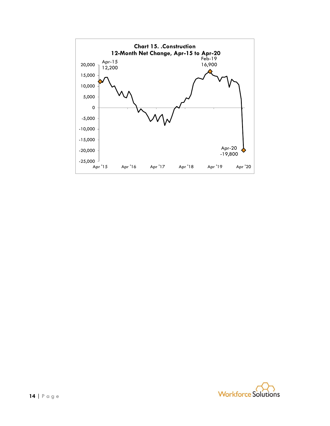

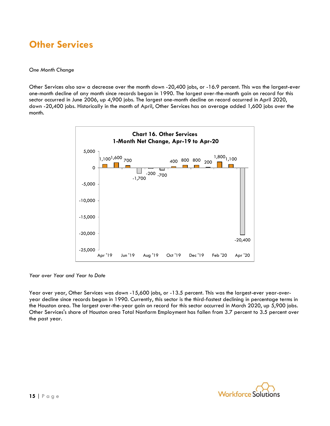### **Other Services**

#### *One Month Change*

Other Services also saw a decrease over the month down -20,400 jobs, or -16.9 percent. This was the largest-ever one-month decline of any month since records began in 1990. The largest over-the-month gain on record for this sector occurred in June 2006, up 4,900 jobs. The largest one-month decline on record occurred in April 2020, down -20,400 jobs. Historically in the month of April, Other Services has on average added 1,600 jobs over the month.



*Year over Year and Year to Date*

Year over year, Other Services was down -15,600 jobs, or -13.5 percent. This was the largest-ever year-overyear decline since records began in 1990. Currently, this sector is the third-fastest declining in percentage terms in the Houston area. The largest over-the-year gain on record for this sector occurred in March 2020, up 5,900 jobs. Other Services's share of Houston area Total Nonfarm Employment has fallen from 3.7 percent to 3.5 percent over the past year.

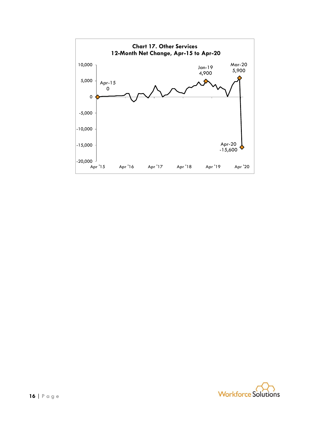

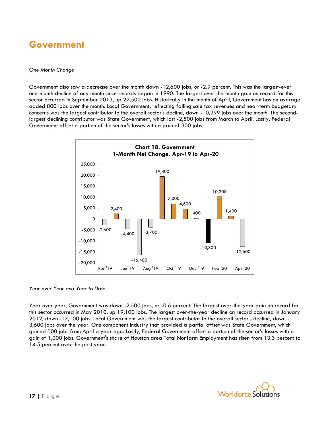### **Government**

#### *One Month Change*

Government also saw a decrease over the month down -12,600 jobs, or -2.9 percent. This was the largest-ever one-month decline of any month since records began in 1990. The largest over-the-month gain on record for this sector occurred in September 2013, up 22,500 jobs. Historically in the month of April, Government has on average added 800 jobs over the month. Local Government, reflecting falling sale tax revenues and near-term budgetary concerns was the largest contributor to the overall sector's decline, down -10,399 jobs over the month. The secondlargest declining contributor was State Government, which lost -2,500 jobs from March to April. Lastly, Federal Government offset a portion of the sector's losses with a gain of 300 jobs.



#### *Year over Year and Year to Date*

Year over year, Government was down -2,500 jobs, or -0.6 percent. The largest over-the-year gain on record for this sector occurred in May 2010, up 19,100 jobs. The largest over-the-year decline on record occurred in January 2012, down -17,100 jobs. Local Government was the largest contributor to the overall sector's decline, down - 3,600 jobs over the year. One component industry that provided a partial offset was State Government, which gained 100 jobs from April a year ago. Lastly, Federal Government offset a portion of the sector's losses with a gain of 1,000 jobs. Government's share of Houston area Total Nonfarm Employment has risen from 13.3 percent to 14.5 percent over the past year.

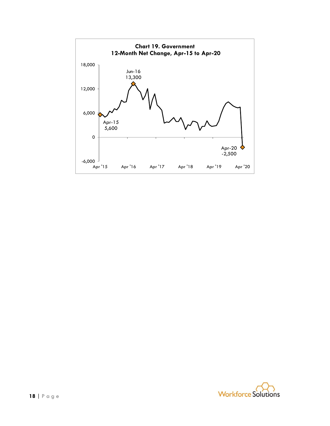

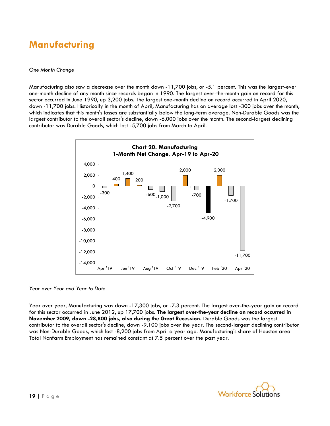### **Manufacturing**

#### *One Month Change*

Manufacturing also saw a decrease over the month down -11,700 jobs, or -5.1 percent. This was the largest-ever one-month decline of any month since records began in 1990. The largest over-the-month gain on record for this sector occurred in June 1990, up 3,200 jobs. The largest one-month decline on record occurred in April 2020, down -11,700 jobs. Historically in the month of April, Manufacturing has on average lost -300 jobs over the month, which indicates that this month's losses are substantially below the long-term average. Non-Durable Goods was the largest contributor to the overall sector's decline, down -6,000 jobs over the month. The second-largest declining contributor was Durable Goods, which lost -5,700 jobs from March to April.



*Year over Year and Year to Date*

Year over year, Manufacturing was down -17,300 jobs, or -7.3 percent. The largest over-the-year gain on record for this sector occurred in June 2012, up 17,700 jobs. **The largest over-the-year decline on record occurred in November 2009, down -28,800 jobs, also during the Great Recession.** Durable Goods was the largest contributor to the overall sector's decline, down -9,100 jobs over the year. The second-largest declining contributor was Non-Durable Goods, which lost -8,200 jobs from April a year ago. Manufacturing's share of Houston area Total Nonfarm Employment has remained constant at 7.5 percent over the past year.

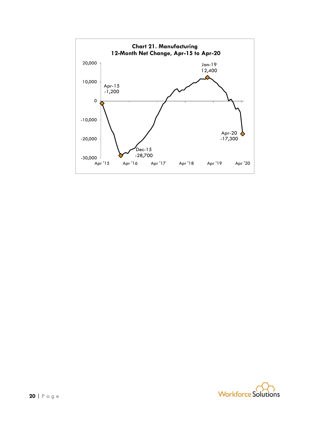

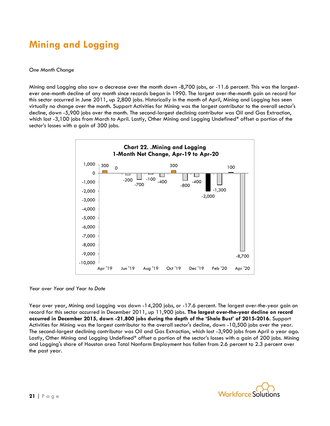### **Mining and Logging**

#### *One Month Change*

Mining and Logging also saw a decrease over the month down -8,700 jobs, or -11.6 percent. This was the largestever one-month decline of any month since records began in 1990. The largest over-the-month gain on record for this sector occurred in June 2011, up 2,800 jobs. Historically in the month of April, Mining and Logging has seen virtually no change over the month. Support Activities for Mining was the largest contributor to the overall sector's decline, down -5,900 jobs over the month. The second-largest declining contributor was Oil and Gas Extraction, which lost -3,100 jobs from March to April. Lastly, Other Mining and Logging Undefined\* offset a portion of the sector's losses with a gain of 300 jobs.



*Year over Year and Year to Date*

Year over year, Mining and Logging was down -14,200 jobs, or -17.6 percent. The largest over-the-year gain on record for this sector occurred in December 2011, up 11,900 jobs. **The largest over-the-year decline on record occurred in December 2015, down -21,800 jobs during the depth of the 'Shale Bust' of 2015-2016.** Support Activities for Mining was the largest contributor to the overall sector's decline, down -10,500 jobs over the year. The second-largest declining contributor was Oil and Gas Extraction, which lost -3,900 jobs from April a year ago. Lastly, Other Mining and Logging Undefined\* offset a portion of the sector's losses with a gain of 200 jobs. Mining and Logging's share of Houston area Total Nonfarm Employment has fallen from 2.6 percent to 2.3 percent over the past year.

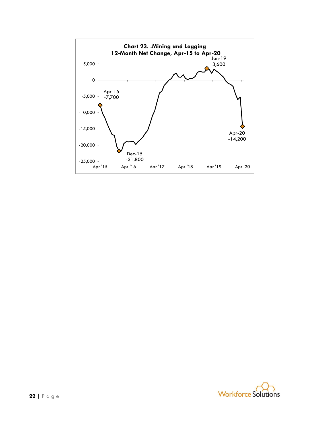

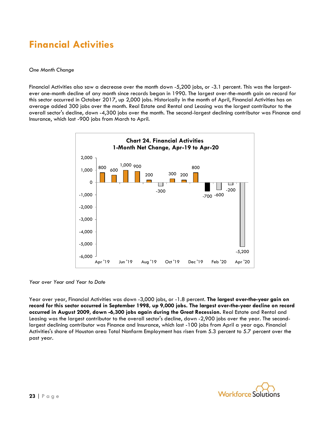### **Financial Activities**

#### *One Month Change*

Financial Activities also saw a decrease over the month down -5,200 jobs, or -3.1 percent. This was the largestever one-month decline of any month since records began in 1990. The largest over-the-month gain on record for this sector occurred in October 2017, up 2,000 jobs. Historically in the month of April, Financial Activities has on average added 300 jobs over the month. Real Estate and Rental and Leasing was the largest contributor to the overall sector's decline, down -4,300 jobs over the month. The second-largest declining contributor was Finance and Insurance, which lost -900 jobs from March to April.



#### *Year over Year and Year to Date*

Year over year, Financial Activities was down -3,000 jobs, or -1.8 percent. **The largest over-the-year gain on record for this sector occurred in September 1998, up 9,000 jobs. The largest over-the-year decline on record occurred in August 2009, down -6,300 jobs again during the Great Recession.** Real Estate and Rental and Leasing was the largest contributor to the overall sector's decline, down -2,900 jobs over the year. The secondlargest declining contributor was Finance and Insurance, which lost -100 jobs from April a year ago. Financial Activities's share of Houston area Total Nonfarm Employment has risen from 5.3 percent to 5.7 percent over the past year.

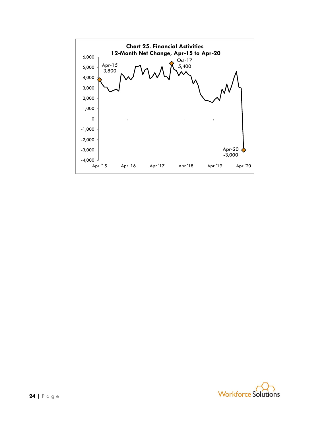

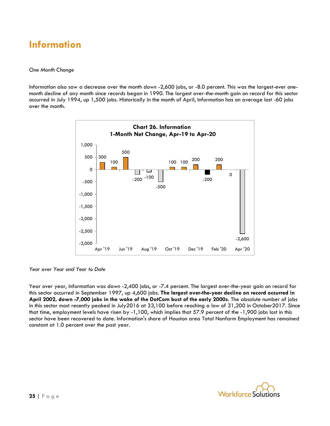### **Information**

#### *One Month Change*

Information also saw a decrease over the month down -2,600 jobs, or -8.0 percent. This was the largest-ever onemonth decline of any month since records began in 1990. The largest over-the-month gain on record for this sector occurred in July 1994, up 1,500 jobs. Historically in the month of April, Information has on average lost -60 jobs over the month.



*Year over Year and Year to Date*

Year over year, Information was down -2,400 jobs, or -7.4 percent. The largest over-the-year gain on record for this sector occurred in September 1997, up 4,600 jobs. **The largest over-the-year decline on record occurred in April 2002, down -7,000 jobs in the wake of the DotCom bust of the early 2000s**. The absolute number of jobs in this sector most recently peaked in July2016 at 33,100 before reaching a low of 31,200 in October2017. Since that time, employment levels have risen by -1,100, which implies that 57.9 percent of the -1,900 jobs lost in this sector have been recovered to date. Information's share of Houston area Total Nonfarm Employment has remained constant at 1.0 percent over the past year.

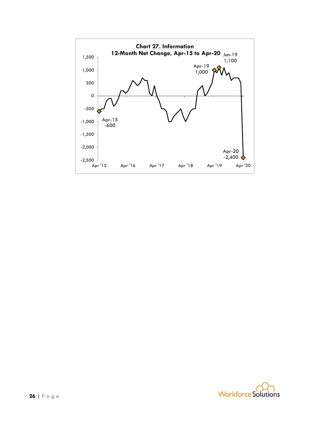

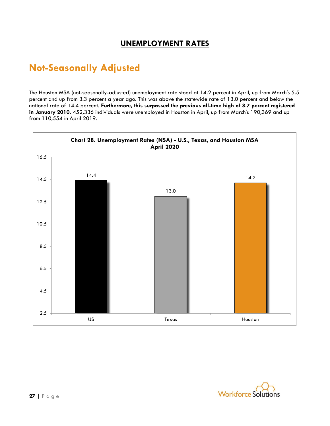### **UNEMPLOYMENT RATES**

### **Not-Seasonally Adjusted**

The Houston MSA (not-seasonally-adjusted) unemployment rate stood at 14.2 percent in April, up from March's 5.5 percent and up from 3.3 percent a year ago. This was above the statewide rate of 13.0 percent and below the national rate of 14.4 percent. **Furthermore, this surpassed the previous all-time high of 8.7 percent registered in January 2010.** 452,336 individuals were unemployed in Houston in April, up from March's 190,369 and up from 110,554 in April 2019.



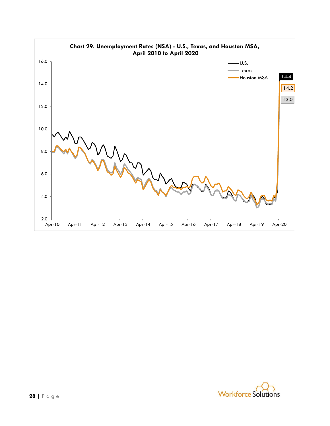

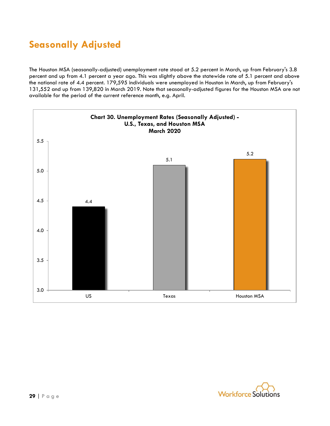## **Seasonally Adjusted**

The Houston MSA (seasonally-adjusted) unemployment rate stood at 5.2 percent in March, up from February's 3.8 percent and up from 4.1 percent a year ago. This was slightly above the statewide rate of 5.1 percent and above the national rate of 4.4 percent. 179,595 individuals were unemployed in Houston in March, up from February's 131,552 and up from 139,820 in March 2019. Note that seasonally-adjusted figures for the Houston MSA are not available for the period of the current reference month, e.g. April.



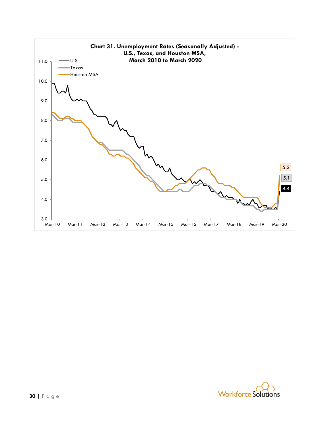

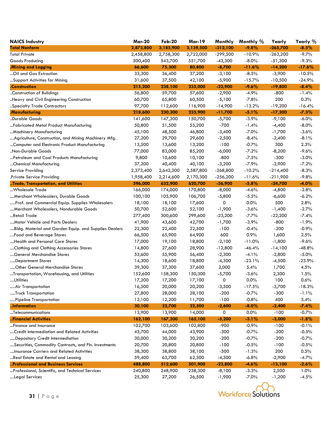| <b>NAICS Industry</b>                                 | <b>Mar-20</b> | <b>Feb-20</b> | <b>Mar-19</b> | Monthly    | Monthly % | Yearly     | Yearly % |
|-------------------------------------------------------|---------------|---------------|---------------|------------|-----------|------------|----------|
| <b>Total Nonfarm</b>                                  | 2,873,800     | 3,185,900     | 3,139,500     | $-312,100$ | $-9.8%$   | $-265,700$ | $-8.5%$  |
| <b>Total Private</b>                                  | 2,458,800     | 2,758,300     | 2,722,000     | $-299,500$ | $-10.9%$  | $-263,200$ | $-9.7%$  |
| Goods Producing                                       | 500,400       | 543,700       | 551,700       | $-43,300$  | $-8.0\%$  | $-51,300$  | $-9.3%$  |
| .Mining and Logging                                   | 66,600        | 75,300        | 80,800        | $-8,700$   | $-11.6%$  | $-14,200$  | $-17.6%$ |
| Oil and Gas Extraction                                | 33,300        | 36,400        | 37,200        | $-3,100$   | $-8.5%$   | $-3,900$   | $-10.5%$ |
| Support Activities for Mining                         | 31,600        | 37,500        | 42,100        | $-5,900$   | $-15.7%$  | $-10,500$  | $-24.9%$ |
| .Construction                                         | 215,200       | 238,100       | 235,000       | $-22,900$  | $-9.6%$   | $-19,800$  | $-8.4%$  |
| Construction of Buildings                             | 56,800        | 59,700        | 57,600        | $-2,900$   | $-4.9%$   | $-800$     | $-1.4%$  |
| Heavy and Civil Engineering Construction              | 60,700        | 65,800        | 60,500        | $-5,100$   | $-7.8%$   | 200        | 0.3%     |
| Specialty Trade Contractors                           | 97,700        | 112,600       | 116,900       | $-14,900$  | $-13.2%$  | $-19,200$  | $-16.4%$ |
| .Manufacturing                                        | 218,600       | 230,300       | 235,900       | $-11,700$  | $-5.1%$   | $-17,300$  | $-7.3%$  |
| Durable Goods                                         | 141,600       | 147,300       | 150,700       | $-5,700$   | $-3.9%$   | $-9,100$   | $-6.0\%$ |
| Fabricated Metal Product Manufacturing                | 50,800        | 51,500        | 55,200        | $-700$     | $-1.4%$   | $-4,400$   | $-8.0\%$ |
| Machinery Manufacturing                               | 45,100        | 48,500        | 46,800        | $-3,400$   | $-7.0%$   | $-1,700$   | $-3.6%$  |
| Agriculture, Construction, and Mining Machinery Mfg.  | 27,200        | 29,700        | 29,600        | $-2,500$   | $-8.4%$   | $-2,400$   | $-8.1%$  |
| Computer and Electronic Product Manufacturing         | 13,500        | 13,600        | 13,200        | $-100$     | $-0.7%$   | 300        | 2.3%     |
| "Non-Durable Goods                                    | 77,000        | 83,000        | 85,200        | $-6,000$   | $-7.2%$   | $-8,200$   | $-9.6%$  |
| Petroleum and Coal Products Manufacturing             | 9,800         | 10,600        | 10,100        | $-800$     | $-7.5%$   | $-300$     | $-3.0%$  |
| Chemical Manufacturing                                | 37,200        | 40,400        | 40,100        | $-3,200$   | $-7.9%$   | $-2,900$   | $-7.2%$  |
| Service Providing                                     | 2,373,400     | 2,642,200     | 2,587,800     | $-268,800$ | $-10.2%$  | $-214,400$ | $-8.3%$  |
| Private Service Providing.                            | 1,958,400     | 2,214,600     | 2,170,300     | $-256,200$ | $-11.6%$  | $-211,900$ | $-9.8%$  |
| Trade, Transportation, and Utilities                  | 596,000       | 632,900       | 620,700       | $-36,900$  | $-5.8%$   | $-24,700$  | $-4.0%$  |
| Wholesale Trade                                       | 166,000       | 174,000       | 170,800       | $-8,000$   | $-4.6%$   | $-4,800$   | $-2.8%$  |
| Merchant Wholesalers, Durable Goods                   | 100,100       | 105,900       | 106,700       | $-5,800$   | $-5.5%$   | $-6,600$   | $-6.2%$  |
| Prof. and Commercial Equip. Supplies Wholesalers      | 18,100        | 18,100        | 17,600        | 0          | 0.0%      | 500        | 2.8%     |
| Merchant Wholesalers, Nondurable Goods                | 50,700        | 52,600        | 52,100        | $-1,900$   | $-3.6%$   | $-1,400$   | $-2.7%$  |
| …Retail Trade                                         | 277,400       | 300,600       | 299,600       | $-23,200$  | $-7.7%$   | $-22,200$  | $-7.4%$  |
| Motor Vehicle and Parts Dealers                       | 41,900        | 43,600        | 42,700        | $-1,700$   | $-3.9%$   | $-800$     | $-1.9%$  |
| Bldg. Material and Garden Equip. and Supplies Dealers | 22,300        | 22,400        | 22,500        | $-100$     | $-0.4%$   | $-200$     | $-0.9%$  |
| Food and Beverage Stores                              | 66,500        | 65,900        | 64,900        | 600        | 0.9%      | 1,600      | 2.5%     |
| Health and Personal Care Stores                       | 17,000        | 19,100        | 18,800        | $-2,100$   | $-11.0%$  | $-1,800$   | $-9.6%$  |
| Clothing and Clothing Accessories Stores              | 14,800        | 27,600        | 28,900        | $-12,800$  | $-46.4%$  | $-14,100$  | $-48.8%$ |
| General Merchandise Stores                            | 53,600        | 55,900        | 56,400        | $-2,300$   | $-4.1%$   | $-2,800$   | $-5.0%$  |
| Department Stores                                     | 14,300        | 18,600        | 18,800        | $-4,300$   | $-23.1%$  | $-4,500$   | $-23.9%$ |
| Other General Merchandise Stores                      | 39,300        | 37,300        | 37,600        | 2,000      | 5.4%      | 1,700      | 4.5%     |
| Transportation, Warehousing, and Utilities            | 152,600       | 158,300       | 150,300       | $-5,700$   | $-3.6%$   | 2,300      | 1.5%     |
| …Utilities                                            | 17,200        | 17,200        | 17,100        | O          | 0.0%      | 100        | 0.6%     |
| Air Transportation                                    | 16,500        | 20,000        | 20,200        | $-3,500$   | $-17.5%$  | $-3,700$   | $-18.3%$ |
| Truck Transportation                                  | 27,800        | 28,000        | 28,100        | $-200$     | $-0.7%$   | $-300$     | $-1.1%$  |
| Pipeline Transportation                               | 12,100        | 12,200        | 11,700        | $-100$     | $-0.8%$   | 400        | 3.4%     |
| Information                                           | 30,100        | 32,700        | 32,500        | $-2,600$   | $-8.0\%$  | $-2,400$   | $-7.4%$  |
| Telecommunications                                    | 13,900        | 13,900        | 14,000        | 0          | 0.0%      | $-100$     | $-0.7%$  |
| Financial Activities                                  | 162,100       | 167,300       | 165,100       | $-5,200$   | $-3.1%$   | $-3,000$   | $-1.8%$  |
| Finance and Insurance                                 | 102,700       | 103,600       | 102,800       | $-900$     | $-0.9%$   | $-100$     | $-0.1%$  |
| Credit Intermediation and Related Activities          | 43,700        | 44,000        | 43,900        | $-300$     | $-0.7%$   | $-200$     | $-0.5%$  |
| Depository Credit Intermediation                      | 30,000        | 30,200        | 30,200        | $-200$     | $-0.7%$   | $-200$     | $-0.7%$  |
| Securities, Commodity Contracts, and Fin. Investments | 20,700        | 20,800        | 20,800        | $-100$     | $-0.5%$   | $-100$     | $-0.5%$  |
| Insurance Carriers and Related Activities             | 38,300        | 38,800        | 38,100        | $-500$     | $-1.3%$   | 200        | 0.5%     |
| Real Estate and Rental and Leasing                    | 59,400        | 63,700        | 62,300        | $-4,300$   | $-6.8%$   | $-2,900$   | $-4.7%$  |
| Professional and Business Services                    | 488,800       | 512,600       | 501,900       | $-23,800$  | $-4.6%$   | $-13,100$  | $-2.6%$  |
| Professional, Scientific, and Technical Services      | 240,800       | 248,900       | 238,300       | $-8,100$   | $-3.3%$   | 2,500      | 1.0%     |
| Legal Services                                        | 25,300        | 27,200        | 26,500        | $-1,900$   | $-7.0\%$  | $-1,200$   | $-4.5%$  |